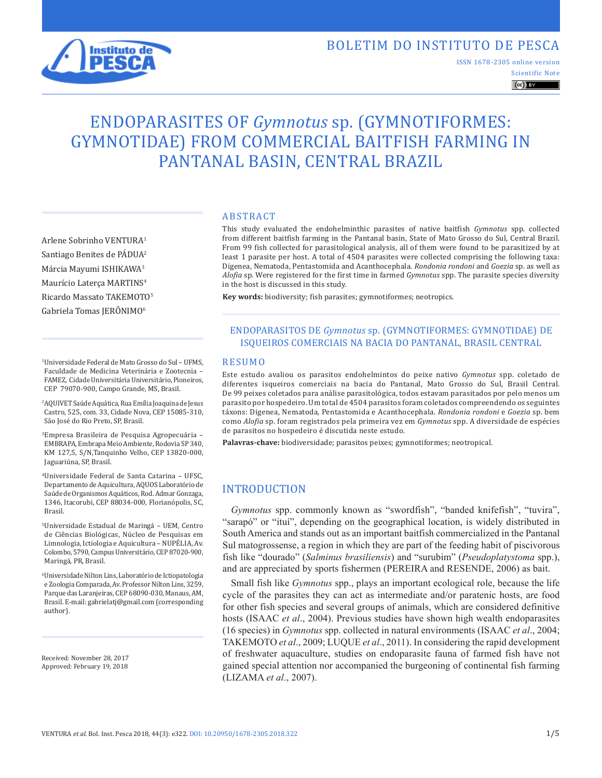# BOLETIM DO INSTITUTO DE PESCA



ISSN 1678-2305 online version

Scientific Note  $\left(\mathrm{cc}\right)$  BY

# ENDOPARASITES OF *Gymnotus* sp. (GYMNOTIFORMES: GYMNOTIDAE) FROM COMMERCIAL BAITFISH FARMING IN PANTANAL BASIN, CENTRAL BRAZIL

Arlene Sobrinho VENTURA1 Santiago Benites de PÁDUA<sup>2</sup> Márcia Mayumi ISHIKAWA3 Maurício Laterça MARTINS4 Ricardo Massato TAKEMOTO5 Gabriela Tomas JERÔNIMO<sup>6</sup>

1Universidade Federal de Mato Grosso do Sul – UFMS, Faculdade de Medicina Veterinária e Zootecnia – FAMEZ, Cidade Universitária Universitário, Pioneiros, CEP 79070-900, Campo Grande, MS, Brasil.

2AQUIVET Saúde Aquática, Rua Emília Joaquina de Jesus Castro, 525, com. 33, Cidade Nova, CEP 15085-310, São José do Rio Preto, SP, Brasil.

3Empresa Brasileira de Pesquisa Agropecuária – EMBRAPA, Embrapa Meio Ambiente, Rodovia SP 340, KM 127,5, S/N,Tanquinho Velho, CEP 13820-000, Jaguariúna, SP, Brasil.

4Universidade Federal de Santa Catarina – UFSC, Departamento de Aquicultura, AQUOS Laboratório de Saúde de Organismos Aquáticos, Rod. Admar Gonzaga, 1346, Itacorubi, CEP 88034-000, Florianópolis, SC, Brasil.

5Universidade Estadual de Maringá – UEM, Centro de Ciências Biológicas, Núcleo de Pesquisas em Limnologia, Ictiologia e Aquicultura – NUPÉLIA, Av. Colombo, 5790, Campus Universitário, CEP 87020-900, Maringá, PR, Brasil.

6Universidade Nilton Lins, Laboratório de Ictiopatologia e Zoologia Comparada, Av. Professor Nilton Lins, 3259, Parque das Laranjeiras, CEP 68090-030, Manaus, AM, Brasil. E-mail: gabrielatj@gmail.com (corresponding author).

Received: November 28, 2017 Approved: February 19, 2018

#### ABSTRACT

This study evaluated the endohelminthic parasites of native baitfish *Gymnotus* spp. collected from different baitfish farming in the Pantanal basin, State of Mato Grosso do Sul, Central Brazil. From 99 fish collected for parasitological analysis, all of them were found to be parasitized by at least 1 parasite per host. A total of 4504 parasites were collected comprising the following taxa: Digenea, Nematoda, Pentastomida and Acanthocephala. *Rondonia rondoni* and *Goezia* sp. as well as *Alofia* sp. Were registered for the first time in farmed *Gymnotus* spp. The parasite species diversity in the host is discussed in this study.

**Key words:** biodiversity; fish parasites; gymnotiformes; neotropics.

#### ENDOPARASITOS DE *Gymnotus* sp. (GYMNOTIFORMES: GYMNOTIDAE) DE ISQUEIROS COMERCIAIS NA BACIA DO PANTANAL, BRASIL CENTRAL

#### RESUMO

Este estudo avaliou os parasitos endohelmintos do peixe nativo *Gymnotus* spp. coletado de diferentes isqueiros comerciais na bacia do Pantanal, Mato Grosso do Sul, Brasil Central. De 99 peixes coletados para análise parasitológica, todos estavam parasitados por pelo menos um parasito por hospedeiro. Um total de 4504 parasitos foram coletados compreendendo os seguintes táxons: Digenea, Nematoda, Pentastomida e Acanthocephala. *Rondonia rondoni* e *Goezia* sp. bem como *Alofia* sp. foram registrados pela primeira vez em *Gymnotus* spp. A diversidade de espécies de parasitos no hospedeiro é discutida neste estudo.

**Palavras-chave:** biodiversidade; parasitos peixes; gymnotiformes; neotropical.

## INTRODUCTION

*Gymnotus* spp. commonly known as "swordfish", "banded knifefish", "tuvira", "sarapó" or "ituí", depending on the geographical location, is widely distributed in South America and stands out as an important baitfish commercialized in the Pantanal Sul matogrossense, a region in which they are part of the feeding habit of piscivorous fish like "dourado" (*Salminus brasiliensis*) and "surubim" (*Pseudoplatystoma* spp.), and are appreciated by sports fishermen (PEREIRA and RESENDE, 2006) as bait.

Small fish like *Gymnotus* spp., plays an important ecological role, because the life cycle of the parasites they can act as intermediate and/or paratenic hosts, are food for other fish species and several groups of animals, which are considered definitive hosts (ISAAC *et al*., 2004). Previous studies have shown high wealth endoparasites (16 species) in *Gymnotus* spp. collected in natural environments (ISAAC *et al*., 2004; TAKEMOTO *et al*., 2009; LUQUE *et al*., 2011). In considering the rapid development of freshwater aquaculture, studies on endoparasite fauna of farmed fish have not gained special attention nor accompanied the burgeoning of continental fish farming (LIZAMA *et al*., 2007).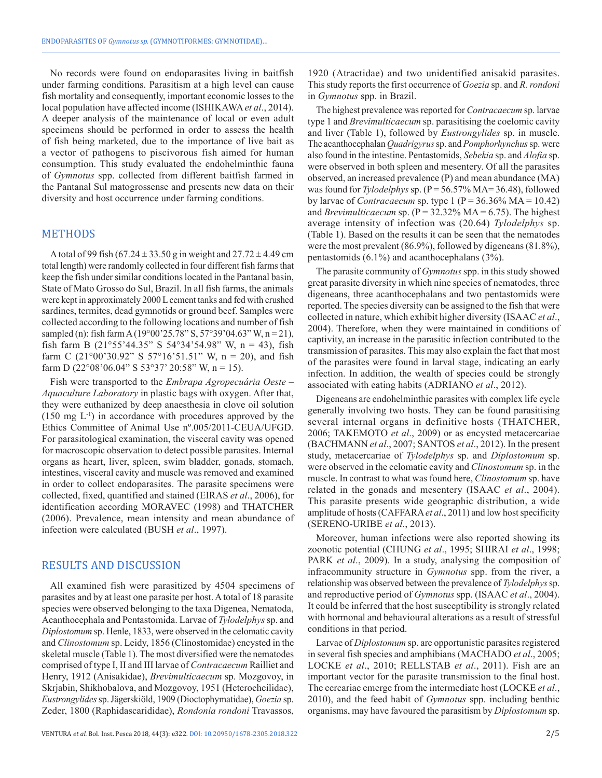No records were found on endoparasites living in baitfish under farming conditions. Parasitism at a high level can cause fish mortality and consequently, important economic losses to the local population have affected income (ISHIKAWA*et al*., 2014). A deeper analysis of the maintenance of local or even adult specimens should be performed in order to assess the health of fish being marketed, due to the importance of live bait as a vector of pathogens to piscivorous fish aimed for human consumption. This study evaluated the endohelminthic fauna of *Gymnotus* spp. collected from different baitfish farmed in the Pantanal Sul matogrossense and presents new data on their diversity and host occurrence under farming conditions.

#### METHODS

A total of 99 fish (67.24  $\pm$  33.50 g in weight and 27.72  $\pm$  4.49 cm total length) were randomly collected in four different fish farms that keep the fish under similar conditions located in the Pantanal basin, State of Mato Grosso do Sul, Brazil. In all fish farms, the animals were kept in approximately 2000 L cement tanks and fed with crushed sardines, termites, dead gymnotids or ground beef. Samples were collected according to the following locations and number of fish sampled (n): fish farm A (19°00'25.78" S, 57°39'04.63" W, n = 21), fish farm B (21°55'44.35" S 54°34'54.98" W, n = 43), fish farm C (21°00'30.92" S 57°16'51.51" W, n = 20), and fish farm D (22°08'06.04" S 53°37' 20:58" W, n = 15).

Fish were transported to the *Embrapa Agropecuária Oeste – Aquaculture Laboratory* in plastic bags with oxygen. After that, they were euthanized by deep anaesthesia in clove oil solution  $(150 \text{ mg } L^{-1})$  in accordance with procedures approved by the Ethics Committee of Animal Use nº.005/2011-CEUA/UFGD. For parasitological examination, the visceral cavity was opened for macroscopic observation to detect possible parasites. Internal organs as heart, liver, spleen, swim bladder, gonads, stomach, intestines, visceral cavity and muscle was removed and examined in order to collect endoparasites. The parasite specimens were collected, fixed, quantified and stained (EIRAS *et al*., 2006), for identification according MORAVEC (1998) and THATCHER (2006). Prevalence, mean intensity and mean abundance of infection were calculated (BUSH *et al*., 1997).

#### RESULTS AND DISCUSSION

All examined fish were parasitized by 4504 specimens of parasites and by at least one parasite per host. A total of 18 parasite species were observed belonging to the taxa Digenea, Nematoda, Acanthocephala and Pentastomida. Larvae of *Tylodelphys* sp. and *Diplostomum* sp. Henle, 1833, were observed in the celomatic cavity and *Clinostomum* sp. Leidy, 1856 (Clinostomidae) encysted in the skeletal muscle (Table 1). The most diversified were the nematodes comprised of type I, II and III larvae of *Contracaecum* Railliet and Henry, 1912 (Anisakidae), *Brevimulticaecum* sp. Mozgovoy, in Skrjabin, Shikhobalova, and Mozgovoy, 1951 (Heterocheilidae), *Eustrongylides* sp. Jägerskiöld, 1909 (Dioctophymatidae), *Goezia* sp. Zeder, 1800 (Raphidascarididae), *Rondonia rondoni* Travassos,

1920 (Atractidae) and two unidentified anisakid parasites. This study reports the first occurrence of *Goezia* sp. and *R. rondoni* in *Gymnotus* spp. in Brazil.

The highest prevalence was reported for *Contracaecum* sp. larvae type 1 and *Brevimulticaecum* sp. parasitising the coelomic cavity and liver (Table 1), followed by *Eustrongylides* sp. in muscle. The acanthocephalan *Quadrigyrus* sp. and *Pomphorhynchus* sp. were also found in the intestine. Pentastomids, *Sebekia* sp. and *Alofia* sp. were observed in both spleen and mesentery. Of all the parasites observed, an increased prevalence (P) and mean abundance (MA) was found for *Tylodelphys* sp. (P = 56.57% MA= 36.48), followed by larvae of *Contracaecum* sp. type 1 ( $P = 36.36\%$  MA = 10.42) and *Brevimulticaecum* sp.  $(P = 32.32\% MA = 6.75)$ . The highest average intensity of infection was (20.64) *Tylodelphys* sp. (Table 1). Based on the results it can be seen that the nematodes were the most prevalent (86.9%), followed by digeneans (81.8%), pentastomids (6.1%) and acanthocephalans (3%).

The parasite community of *Gymnotus* spp. in this study showed great parasite diversity in which nine species of nematodes, three digeneans, three acanthocephalans and two pentastomids were reported. The species diversity can be assigned to the fish that were collected in nature, which exhibit higher diversity (ISAAC *et al*., 2004). Therefore, when they were maintained in conditions of captivity, an increase in the parasitic infection contributed to the transmission of parasites. This may also explain the fact that most of the parasites were found in larval stage, indicating an early infection. In addition, the wealth of species could be strongly associated with eating habits (ADRIANO *et al*., 2012).

Digeneans are endohelminthic parasites with complex life cycle generally involving two hosts. They can be found parasitising several internal organs in definitive hosts (THATCHER, 2006; TAKEMOTO *et al*., 2009) or as encysted metacercariae (BACHMANN *et al*., 2007; SANTOS *et al*., 2012). In the present study, metacercariae of *Tylodelphys* sp. and *Diplostomum* sp. were observed in the celomatic cavity and *Clinostomum* sp. in the muscle. In contrast to what was found here, *Clinostomum* sp. have related in the gonads and mesentery (ISAAC *et al*., 2004). This parasite presents wide geographic distribution, a wide amplitude of hosts (CAFFARA*et al*., 2011) and low host specificity (SERENO-URIBE *et al*., 2013).

Moreover, human infections were also reported showing its zoonotic potential (CHUNG *et al*., 1995; SHIRAI *et al*., 1998; PARK *et al*., 2009). In a study, analysing the composition of infracommunity structure in *Gymnotus* spp. from the river, a relationship was observed between the prevalence of *Tylodelphys* sp. and reproductive period of *Gymnotus* spp. (ISAAC *et al*., 2004). It could be inferred that the host susceptibility is strongly related with hormonal and behavioural alterations as a result of stressful conditions in that period.

Larvae of *Diplostomum* sp. are opportunistic parasites registered in several fish species and amphibians (MACHADO *et al*., 2005; LOCKE *et al*., 2010; RELLSTAB *et al*., 2011). Fish are an important vector for the parasite transmission to the final host. The cercariae emerge from the intermediate host (LOCKE *et al*., 2010), and the feed habit of *Gymnotus* spp. including benthic organisms, may have favoured the parasitism by *Diplostomum* sp.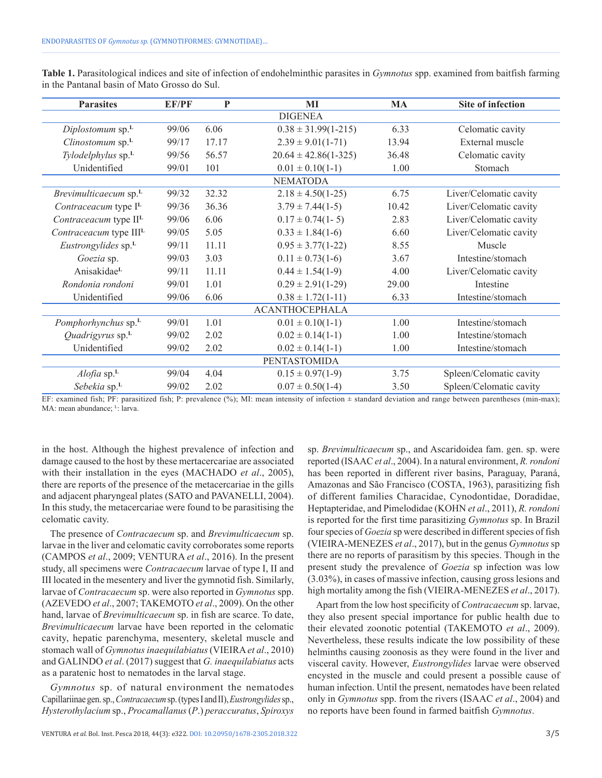| <b>Parasites</b>                   | <b>EF/PF</b> | $\mathbf{P}$ | MI                         | <b>MA</b> | <b>Site of infection</b> |
|------------------------------------|--------------|--------------|----------------------------|-----------|--------------------------|
|                                    |              |              | <b>DIGENEA</b>             |           |                          |
| Diplostomum sp. <sup>L</sup>       | 99/06        | 6.06         | $0.38 \pm 31.99(1 - 215)$  | 6.33      | Celomatic cavity         |
| Clinostomum sp. <sup>L</sup>       | 99/17        | 17.17        | $2.39 \pm 9.01(1-71)$      | 13.94     | External muscle          |
| Tylodelphylus sp. <sup>L</sup>     | 99/56        | 56.57        | $20.64 \pm 42.86(1 - 325)$ | 36.48     | Celomatic cavity         |
| Unidentified                       | 99/01        | 101          | $0.01 \pm 0.10(1-1)$       | 1.00      | Stomach                  |
|                                    |              |              | <b>NEMATODA</b>            |           |                          |
| Brevimulticaecum sp. <sup>L</sup>  | 99/32        | 32.32        | $2.18 \pm 4.50(1-25)$      | 6.75      | Liver/Celomatic cavity   |
| Contraceacum type I <sup>L</sup>   | 99/36        | 36.36        | $3.79 \pm 7.44(1-5)$       | 10.42     | Liver/Celomatic cavity   |
| Contraceacum type II <sup>L</sup>  | 99/06        | 6.06         | $0.17 \pm 0.74(1 - 5)$     | 2.83      | Liver/Celomatic cavity   |
| Contraceacum type III <sup>L</sup> | 99/05        | 5.05         | $0.33 \pm 1.84(1-6)$       | 6.60      | Liver/Celomatic cavity   |
| Eustrongylides sp. <sup>L</sup>    | 99/11        | 11.11        | $0.95 \pm 3.77(1-22)$      | 8.55      | Muscle                   |
| Goezia sp.                         | 99/03        | 3.03         | $0.11 \pm 0.73(1-6)$       | 3.67      | Intestine/stomach        |
| AnisakidaeL                        | 99/11        | 11.11        | $0.44 \pm 1.54(1-9)$       | 4.00      | Liver/Celomatic cavity   |
| Rondonia rondoni                   | 99/01        | 1 0 1        | $0.29 \pm 2.91(1-29)$      | 29.00     | Intestine                |
| Unidentified                       | 99/06        | 6.06         | $0.38 \pm 1.72(1-11)$      | 6.33      | Intestine/stomach        |
| <b>ACANTHOCEPHALA</b>              |              |              |                            |           |                          |
| Pomphorhynchus sp. <sup>L</sup>    | 99/01        | 1.01         | $0.01 \pm 0.10(1-1)$       | 1.00      | Intestine/stomach        |
| Quadrigyrus sp. <sup>L</sup>       | 99/02        | 2.02         | $0.02 \pm 0.14(1-1)$       | 1.00      | Intestine/stomach        |
| Unidentified                       | 99/02        | 2.02         | $0.02 \pm 0.14(1-1)$       | 1.00      | Intestine/stomach        |
|                                    |              |              | <b>PENTASTOMIDA</b>        |           |                          |
| $A$ lofia sp. $L$                  | 99/04        | 4.04         | $0.15 \pm 0.97(1-9)$       | 3.75      | Spleen/Celomatic cavity  |
| Sebekia sp.L                       | 99/02        | 2.02         | $0.07 \pm 0.50(1-4)$       | 3.50      | Spleen/Celomatic cavity  |

**Table 1.** Parasitological indices and site of infection of endohelminthic parasites in *Gymnotus* spp. examined from baitfish farming in the Pantanal basin of Mato Grosso do Sul.

EF: examined fish; PF: parasitized fish; P: prevalence (%); MI: mean intensity of infection ± standard deviation and range between parentheses (min-max); MA: mean abundance; <sup>L</sup>: larva.

in the host. Although the highest prevalence of infection and damage caused to the host by these mertacercariae are associated with their installation in the eyes (MACHADO *et al*., 2005), there are reports of the presence of the metacercariae in the gills and adjacent pharyngeal plates (SATO and PAVANELLI, 2004). In this study, the metacercariae were found to be parasitising the celomatic cavity.

The presence of *Contracaecum* sp. and *Brevimulticaecum* sp. larvae in the liver and celomatic cavity corroborates some reports (CAMPOS *et al*., 2009; VENTURA *et al*., 2016). In the present study, all specimens were *Contracaecum* larvae of type I, II and III located in the mesentery and liver the gymnotid fish. Similarly, larvae of *Contracaecum* sp. were also reported in *Gymnotus* spp. (AZEVEDO *et al*., 2007; TAKEMOTO *et al*., 2009). On the other hand, larvae of *Brevimulticaecum* sp. in fish are scarce. To date, *Brevimulticaecum* larvae have been reported in the celomatic cavity, hepatic parenchyma, mesentery, skeletal muscle and stomach wall of *Gymnotus inaequilabiatus* (VIEIRA*et al*., 2010) and GALINDO *et al*. (2017) suggest that *G. inaequilabiatus* acts as a paratenic host to nematodes in the larval stage.

*Gymnotus* sp. of natural environment the nematodes Capillariinae gen. sp., *Contracaecum* sp. (types I and II), *Eustrongylides* sp., *Hysterothylacium* sp., *Procamallanus* (*P*.) *peraccuratus*, *Spiroxys*

sp. *Brevimulticaecum* sp., and Ascaridoidea fam. gen. sp. were reported (ISAAC *et al*., 2004). In a natural environment, *R. rondoni* has been reported in different river basins, Paraguay, Paraná, Amazonas and São Francisco (COSTA, 1963), parasitizing fish of different families Characidae, Cynodontidae, Doradidae, Heptapteridae, and Pimelodidae (KOHN *et al*., 2011), *R. rondoni* is reported for the first time parasitizing *Gymnotus* sp. In Brazil four species of *Goezia* sp were described in different species of fish (VIEIRA-MENEZES *et al*., 2017), but in the genus *Gymnotus* sp there are no reports of parasitism by this species. Though in the present study the prevalence of *Goezia* sp infection was low (3.03%), in cases of massive infection, causing gross lesions and high mortality among the fish (VIEIRA-MENEZES *et al*., 2017).

Apart from the low host specificity of *Contracaecum* sp. larvae, they also present special importance for public health due to their elevated zoonotic potential (TAKEMOTO *et al*., 2009). Nevertheless, these results indicate the low possibility of these helminths causing zoonosis as they were found in the liver and visceral cavity. However, *Eustrongylides* larvae were observed encysted in the muscle and could present a possible cause of human infection. Until the present, nematodes have been related only in *Gymnotus* spp. from the rivers (ISAAC *et al*., 2004) and no reports have been found in farmed baitfish *Gymnotus*.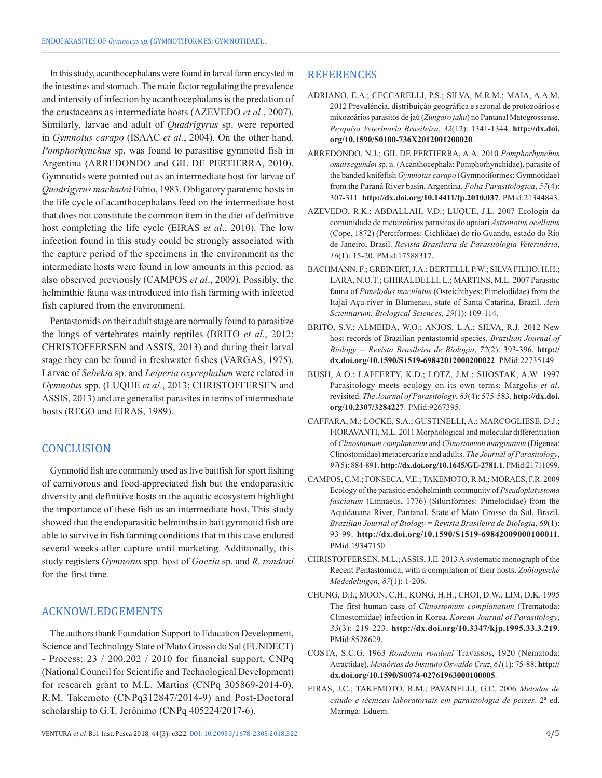In this study, acanthocephalans were found in larval form encysted in the intestines and stomach. The main factor regulating the prevalence and intensity of infection by acanthocephalans is the predation of the crustaceans as intermediate hosts (AZEVEDO *et al*., 2007). Similarly, larvae and adult of *Quadrigyrus* sp. were reported in *Gymnotus carapo* (ISAAC *et al*., 2004). On the other hand, *Pomphorhynchus* sp. was found to parasitise gymnotid fish in Argentina (ARREDONDO and GIL DE PERTIERRA, 2010). Gymnotids were pointed out as an intermediate host for larvae of *Quadrigyrus machadoi* Fabio, 1983. Obligatory paratenic hosts in the life cycle of acanthocephalans feed on the intermediate host that does not constitute the common item in the diet of definitive host completing the life cycle (EIRAS *et al*., 2010). The low infection found in this study could be strongly associated with the capture period of the specimens in the environment as the intermediate hosts were found in low amounts in this period, as also observed previously (CAMPOS *et al*., 2009). Possibly, the helminthic fauna was introduced into fish farming with infected fish captured from the environment.

Pentastomids on their adult stage are normally found to parasitize the lungs of vertebrates mainly reptiles (BRITO *et al*., 2012; CHRISTOFFERSEN and ASSIS, 2013) and during their larval stage they can be found in freshwater fishes (VARGAS, 1975). Larvae of *Sebekia* sp. and *Leiperia oxycephalum* were related in *Gymnotus* spp. (LUQUE *et al*., 2013; CHRISTOFFERSEN and ASSIS, 2013) and are generalist parasites in terms of intermediate hosts (REGO and EIRAS, 1989).

## **CONCLUSION**

Gymnotid fish are commonly used as live baitfish for sport fishing of carnivorous and food-appreciated fish but the endoparasitic diversity and definitive hosts in the aquatic ecosystem highlight the importance of these fish as an intermediate host. This study showed that the endoparasitic helminths in bait gymnotid fish are able to survive in fish farming conditions that in this case endured several weeks after capture until marketing. Additionally, this study registers *Gymnotus* spp. host of *Goezia* sp. and *R. rondoni* for the first time.

### ACKNOWLEDGEMENTS

The authors thank Foundation Support to Education Development, Science and Technology State of Mato Grosso do Sul (FUNDECT) - Process: 23 / 200.202 / 2010 for financial support, CNPq (National Council for Scientific and Technological Development) for research grant to M.L. Martins (CNPq 305869-2014-0), R.M. Takemoto (CNPq312847/2014-9) and Post-Doctoral scholarship to G.T. Jerônimo (CNPq 405224/2017-6).

### **REFERENCES**

- ADRIANO, E.A.; CECCARELLI, P.S.; SILVA, M.R.M.; MAIA, A.A.M. 2012 Prevalência, distribuição geográfica e sazonal de protozoários e mixozoários parasitos de jaú (*Zungaro jahu*) no Pantanal Matogrossense. *Pesquisa Veterinária Brasileira*, *32*(12): 1341-1344. **[http://dx.doi.](https://doi.org/10.1590/S0100-736X2012001200020) [org/10.1590/S0100-736X2012001200020](https://doi.org/10.1590/S0100-736X2012001200020)**.
- ARREDONDO, N.J.; GIL DE PERTIERRA, A.A. 2010 *Pomphorhynchus omarsegundoi* sp. n. (Acanthocephala: Pomphorhynchidae), parasite of the banded knifefish *Gymnotus carapo* (Gymnotiformes: Gymnotidae) from the Paraná River basin, Argentina. *Folia Parasitologica*, *57*(4): 307-311. **[http://dx.doi.org/10.14411/fp.2010.037](https://doi.org/10.14411/fp.2010.037)**[. PMid:21344843.](https://www.ncbi.nlm.nih.gov/entrez/query.fcgi?cmd=Retrieve&db=PubMed&list_uids=21344843&dopt=Abstract)
- AZEVEDO, R.K.; ABDALLAH, V.D.; LUQUE, J.L. 2007 Ecologia da comunidade de metazoários parasitos do apaiarí *Astronotus ocellatus* (Cope, 1872) (Perciformes: Cichlidae) do rio Guandu, estado do Rio de Janeiro, Brasil. *Revista Brasileira de Parasitologia Veterinária*, *16*(1): 15-20[. PMid:17588317.](https://www.ncbi.nlm.nih.gov/entrez/query.fcgi?cmd=Retrieve&db=PubMed&list_uids=17588317&dopt=Abstract)
- BACHMANN, F.; GREINERT, J.A.; BERTELLI, P.W.; SILVA FILHO, H.H.; LARA, N.O.T.; GHIRALDELLI, L.; MARTINS, M.L. 2007 Parasitic fauna of *Pimelodus maculatus* (Osteichthyes: Pimelodidae) from the Itajaí-Açu river in Blumenau, state of Santa Catarina, Brazil. *Acta Scientiarum. Biological Sciences*, *29*(1): 109-114.
- BRITO, S.V.; ALMEIDA, W.O.; ANJOS, L.A.; SILVA, R.J. 2012 New host records of Brazilian pentastomid species. *Brazilian Journal of Biology = Revista Brasileira de Biologia*, *72*(2): 393-396. **[http://](https://doi.org/10.1590/S1519-69842012000200022) [dx.doi.org/10.1590/S1519-69842012000200022](https://doi.org/10.1590/S1519-69842012000200022)**. [PMid:22735149.](https://www.ncbi.nlm.nih.gov/entrez/query.fcgi?cmd=Retrieve&db=PubMed&list_uids=22735149&dopt=Abstract)
- BUSH, A.O.; LAFFERTY, K.D.; LOTZ, J.M.; SHOSTAK, A.W. 1997 Parasitology meets ecology on its own terms: Margolis *et al*. revisited. *The Journal of Parasitology*, *83*(4): 575-583. **[http://dx.doi.](https://doi.org/10.2307/3284227) [org/10.2307/3284227](https://doi.org/10.2307/3284227)**[. PMid:9267395.](https://www.ncbi.nlm.nih.gov/entrez/query.fcgi?cmd=Retrieve&db=PubMed&list_uids=9267395&dopt=Abstract)
- CAFFARA, M.; LOCKE, S.A.; GUSTINELLI, A.; MARCOGLIESE, D.J.; FIORAVANTI, M.L. 2011 Morphological and molecular differentiation of *Clinostomum complanatum* and *Clinostomum marginatum* (Digenea: Clinostomidae) metacercariae and adults. *The Journal of Parasitology*, *97*(5): 884-891. **[http://dx.doi.org/10.1645/GE-2781.1](https://doi.org/10.1645/GE-2781.1)**. [PMid:21711099.](https://www.ncbi.nlm.nih.gov/entrez/query.fcgi?cmd=Retrieve&db=PubMed&list_uids=21711099&dopt=Abstract)
- CAMPOS, C.M.; FONSECA, V.E.; TAKEMOTO, R.M.; MORAES, F.R. 2009 Ecology of the parasitic endohelminth community of *Pseudoplatystoma fasciatum* (Linnaeus, 1776) (Siluriformes: Pimelodidae) from the Aquidauana River, Pantanal, State of Mato Grosso do Sul, Brazil. *Brazilian Journal of Biology = Revista Brasileira de Biologia*, *69*(1): 93-99. **[http://dx.doi.org/10.1590/S1519-69842009000100011](https://doi.org/10.1590/S1519-69842009000100011)**. [PMid:19347150.](https://www.ncbi.nlm.nih.gov/entrez/query.fcgi?cmd=Retrieve&db=PubMed&list_uids=19347150&dopt=Abstract)
- CHRISTOFFERSEN, M.L.; ASSIS, J.E. 2013 A systematic monograph of the Recent Pentastomida, with a compilation of their hosts. *Zoölogische Mededelingen*, *87*(1): 1-206.
- CHUNG, D.I.; MOON, C.H.; KONG, H.H.; CHOI, D.W.; LIM, D.K. 1995 The first human case of *Clinostomum complanatum* (Trematoda: Clinostomidae) infection in Korea. *Korean Journal of Parasitology*, *33*(3): 219-223. **[http://dx.doi.org/10.3347/kjp.1995.33.3.219](https://doi.org/10.3347/kjp.1995.33.3.219)**. [PMid:8528629.](https://www.ncbi.nlm.nih.gov/entrez/query.fcgi?cmd=Retrieve&db=PubMed&list_uids=8528629&dopt=Abstract)
- COSTA, S.C.G. 1963 *Rondonia rondoni* Travassos, 1920 (Nematoda: Atractidae). *Memórias do Instituto Oswaldo Cruz*, *61*(1): 75-88. **[http://](https://doi.org/10.1590/S0074-02761963000100005) [dx.doi.org/10.1590/S0074-02761963000100005](https://doi.org/10.1590/S0074-02761963000100005)**.
- EIRAS, J.C.; TAKEMOTO, R.M.; PAVANELLI, G.C. 2006 *Métodos de estudo e técnicas laboratoriais em parasitologia de peixes*. 2ª ed. Maringá: Eduem.